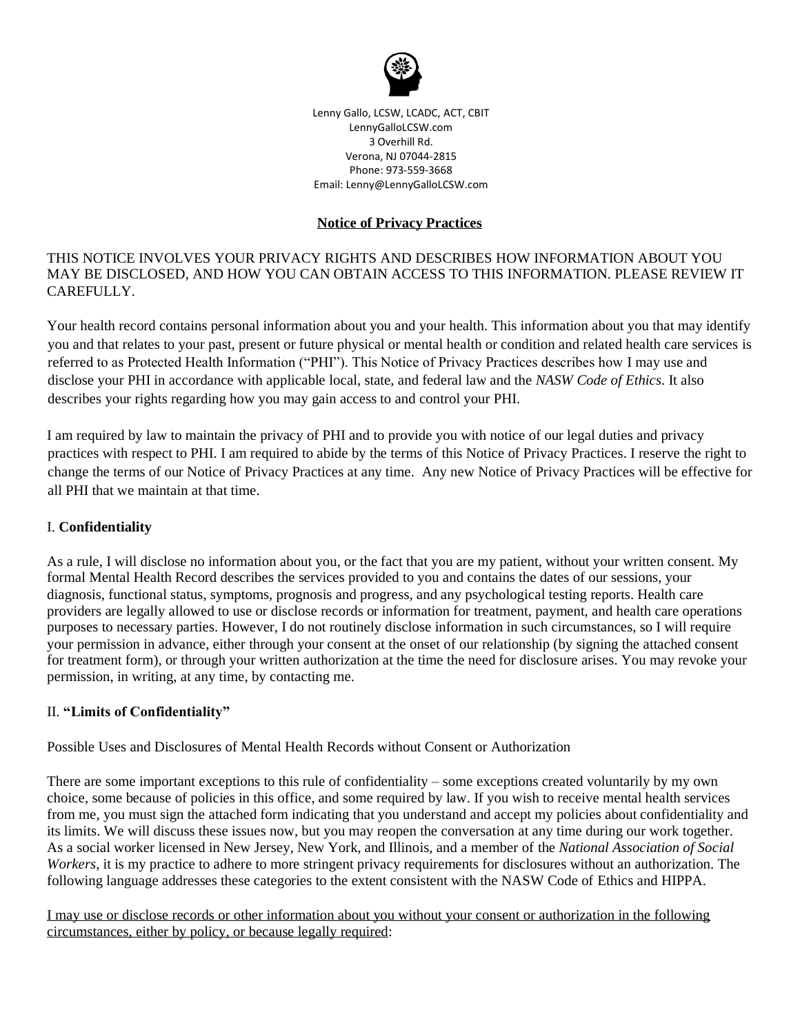

Lenny Gallo, LCSW, LCADC, ACT, CBIT LennyGalloLCSW.com 3 Overhill Rd. Verona, NJ 07044-2815 Phone: 973-559-3668 Email: Lenny@LennyGalloLCSW.com

## **Notice of Privacy Practices**

THIS NOTICE INVOLVES YOUR PRIVACY RIGHTS AND DESCRIBES HOW INFORMATION ABOUT YOU MAY BE DISCLOSED, AND HOW YOU CAN OBTAIN ACCESS TO THIS INFORMATION. PLEASE REVIEW IT CAREFULLY.

Your health record contains personal information about you and your health. This information about you that may identify you and that relates to your past, present or future physical or mental health or condition and related health care services is referred to as Protected Health Information ("PHI"). This Notice of Privacy Practices describes how I may use and disclose your PHI in accordance with applicable local, state, and federal law and the *NASW Code of Ethics*. It also describes your rights regarding how you may gain access to and control your PHI.

I am required by law to maintain the privacy of PHI and to provide you with notice of our legal duties and privacy practices with respect to PHI. I am required to abide by the terms of this Notice of Privacy Practices. I reserve the right to change the terms of our Notice of Privacy Practices at any time. Any new Notice of Privacy Practices will be effective for all PHI that we maintain at that time.

## I. **Confidentiality**

As a rule, I will disclose no information about you, or the fact that you are my patient, without your written consent. My formal Mental Health Record describes the services provided to you and contains the dates of our sessions, your diagnosis, functional status, symptoms, prognosis and progress, and any psychological testing reports. Health care providers are legally allowed to use or disclose records or information for treatment, payment, and health care operations purposes to necessary parties. However, I do not routinely disclose information in such circumstances, so I will require your permission in advance, either through your consent at the onset of our relationship (by signing the attached consent for treatment form), or through your written authorization at the time the need for disclosure arises. You may revoke your permission, in writing, at any time, by contacting me.

## II. **"Limits of Confidentiality"**

Possible Uses and Disclosures of Mental Health Records without Consent or Authorization

There are some important exceptions to this rule of confidentiality – some exceptions created voluntarily by my own choice, some because of policies in this office, and some required by law. If you wish to receive mental health services from me, you must sign the attached form indicating that you understand and accept my policies about confidentiality and its limits. We will discuss these issues now, but you may reopen the conversation at any time during our work together. As a social worker licensed in New Jersey, New York, and Illinois, and a member of the *National Association of Social Workers*, it is my practice to adhere to more stringent privacy requirements for disclosures without an authorization. The following language addresses these categories to the extent consistent with the NASW Code of Ethics and HIPPA.

I may use or disclose records or other information about you without your consent or authorization in the following circumstances, either by policy, or because legally required: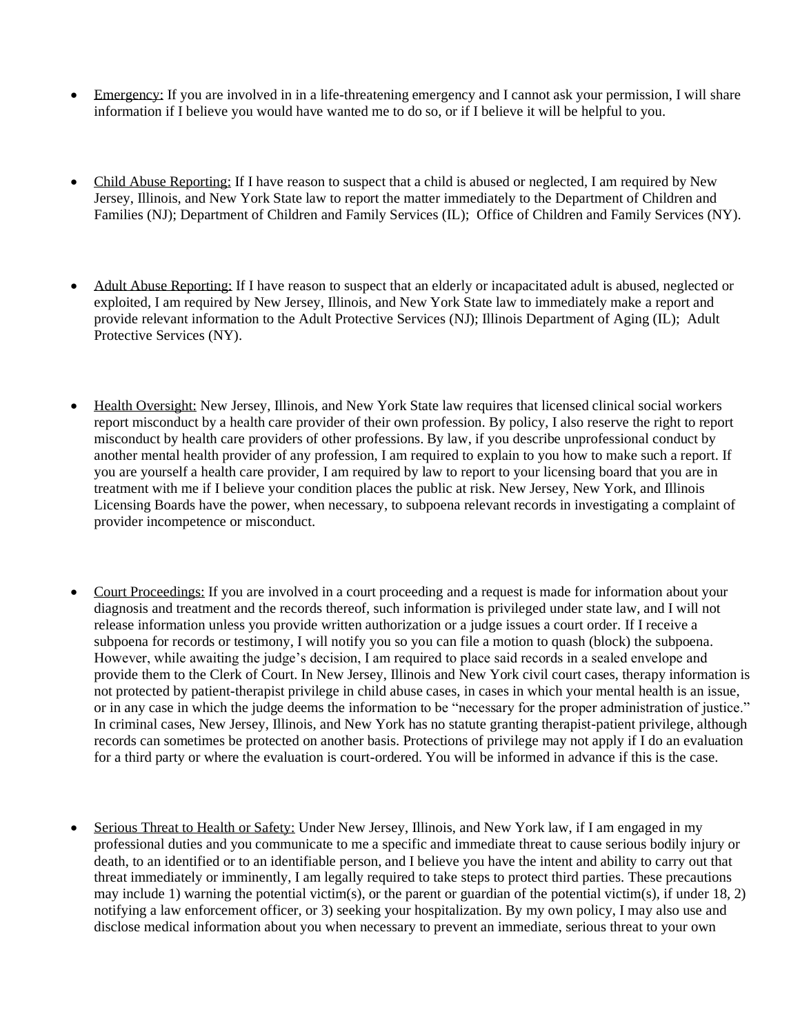- Emergency: If you are involved in in a life-threatening emergency and I cannot ask your permission, I will share information if I believe you would have wanted me to do so, or if I believe it will be helpful to you.
- Child Abuse Reporting: If I have reason to suspect that a child is abused or neglected, I am required by New Jersey, Illinois, and New York State law to report the matter immediately to the Department of Children and Families (NJ); Department of Children and Family Services (IL); Office of Children and Family Services (NY).
- Adult Abuse Reporting: If I have reason to suspect that an elderly or incapacitated adult is abused, neglected or exploited, I am required by New Jersey, Illinois, and New York State law to immediately make a report and provide relevant information to the Adult Protective Services (NJ); Illinois Department of Aging (IL); Adult Protective Services (NY).
- Health Oversight: New Jersey, Illinois, and New York State law requires that licensed clinical social workers report misconduct by a health care provider of their own profession. By policy, I also reserve the right to report misconduct by health care providers of other professions. By law, if you describe unprofessional conduct by another mental health provider of any profession, I am required to explain to you how to make such a report. If you are yourself a health care provider, I am required by law to report to your licensing board that you are in treatment with me if I believe your condition places the public at risk. New Jersey, New York, and Illinois Licensing Boards have the power, when necessary, to subpoena relevant records in investigating a complaint of provider incompetence or misconduct.
- Court Proceedings: If you are involved in a court proceeding and a request is made for information about your diagnosis and treatment and the records thereof, such information is privileged under state law, and I will not release information unless you provide written authorization or a judge issues a court order. If I receive a subpoena for records or testimony, I will notify you so you can file a motion to quash (block) the subpoena. However, while awaiting the judge's decision, I am required to place said records in a sealed envelope and provide them to the Clerk of Court. In New Jersey, Illinois and New York civil court cases, therapy information is not protected by patient-therapist privilege in child abuse cases, in cases in which your mental health is an issue, or in any case in which the judge deems the information to be "necessary for the proper administration of justice." In criminal cases, New Jersey, Illinois, and New York has no statute granting therapist-patient privilege, although records can sometimes be protected on another basis. Protections of privilege may not apply if I do an evaluation for a third party or where the evaluation is court-ordered. You will be informed in advance if this is the case.
- Serious Threat to Health or Safety: Under New Jersey, Illinois, and New York law, if I am engaged in my professional duties and you communicate to me a specific and immediate threat to cause serious bodily injury or death, to an identified or to an identifiable person, and I believe you have the intent and ability to carry out that threat immediately or imminently, I am legally required to take steps to protect third parties. These precautions may include 1) warning the potential victim(s), or the parent or guardian of the potential victim(s), if under  $18, 2$ ) notifying a law enforcement officer, or 3) seeking your hospitalization. By my own policy, I may also use and disclose medical information about you when necessary to prevent an immediate, serious threat to your own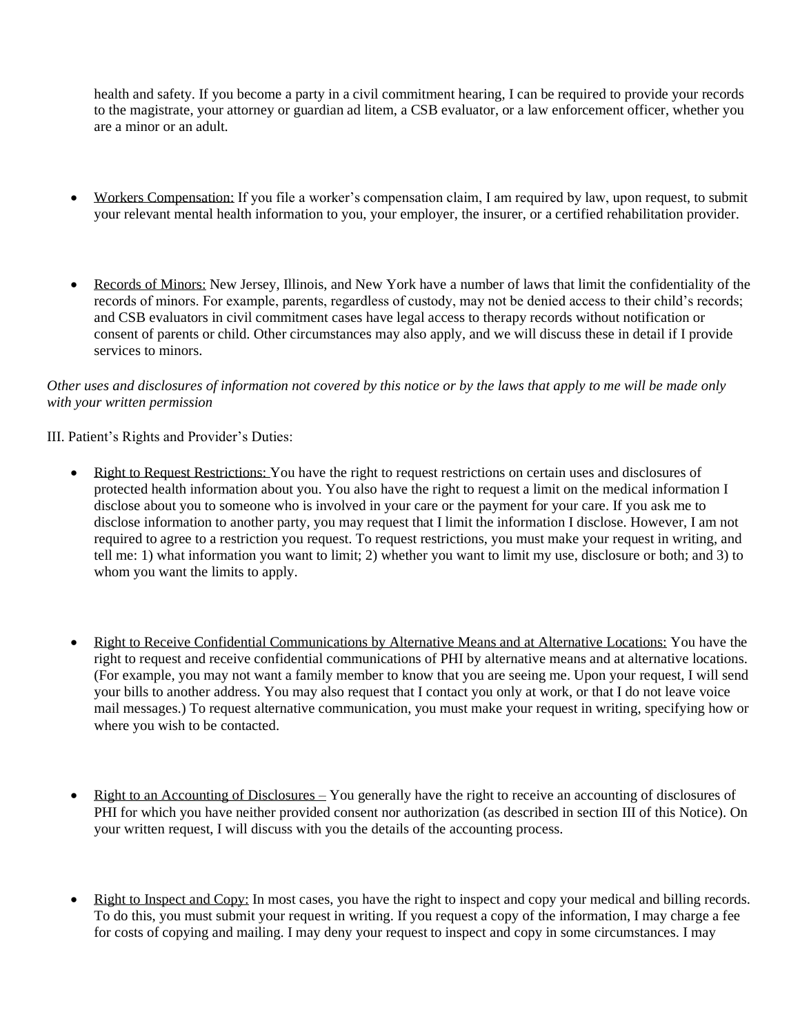health and safety. If you become a party in a civil commitment hearing, I can be required to provide your records to the magistrate, your attorney or guardian ad litem, a CSB evaluator, or a law enforcement officer, whether you are a minor or an adult.

- Workers Compensation: If you file a worker's compensation claim, I am required by law, upon request, to submit your relevant mental health information to you, your employer, the insurer, or a certified rehabilitation provider.
- Records of Minors: New Jersey, Illinois, and New York have a number of laws that limit the confidentiality of the records of minors. For example, parents, regardless of custody, may not be denied access to their child's records; and CSB evaluators in civil commitment cases have legal access to therapy records without notification or consent of parents or child. Other circumstances may also apply, and we will discuss these in detail if I provide services to minors.

*Other uses and disclosures of information not covered by this notice or by the laws that apply to me will be made only with your written permission*

III. Patient's Rights and Provider's Duties:

- Right to Request Restrictions: You have the right to request restrictions on certain uses and disclosures of protected health information about you. You also have the right to request a limit on the medical information I disclose about you to someone who is involved in your care or the payment for your care. If you ask me to disclose information to another party, you may request that I limit the information I disclose. However, I am not required to agree to a restriction you request. To request restrictions, you must make your request in writing, and tell me: 1) what information you want to limit; 2) whether you want to limit my use, disclosure or both; and 3) to whom you want the limits to apply.
- Right to Receive Confidential Communications by Alternative Means and at Alternative Locations: You have the right to request and receive confidential communications of PHI by alternative means and at alternative locations. (For example, you may not want a family member to know that you are seeing me. Upon your request, I will send your bills to another address. You may also request that I contact you only at work, or that I do not leave voice mail messages.) To request alternative communication, you must make your request in writing, specifying how or where you wish to be contacted.
- Right to an Accounting of Disclosures You generally have the right to receive an accounting of disclosures of PHI for which you have neither provided consent nor authorization (as described in section III of this Notice). On your written request, I will discuss with you the details of the accounting process.
- Right to Inspect and Copy: In most cases, you have the right to inspect and copy your medical and billing records. To do this, you must submit your request in writing. If you request a copy of the information, I may charge a fee for costs of copying and mailing. I may deny your request to inspect and copy in some circumstances. I may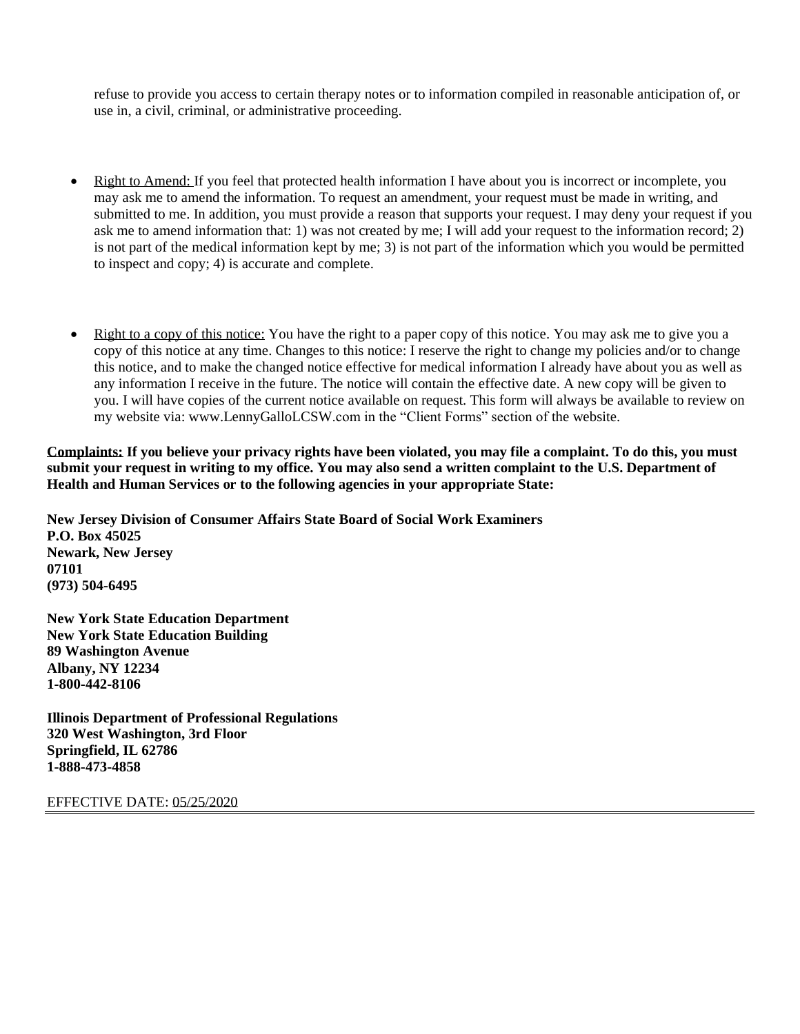refuse to provide you access to certain therapy notes or to information compiled in reasonable anticipation of, or use in, a civil, criminal, or administrative proceeding.

- Right to Amend: If you feel that protected health information I have about you is incorrect or incomplete, you may ask me to amend the information. To request an amendment, your request must be made in writing, and submitted to me. In addition, you must provide a reason that supports your request. I may deny your request if you ask me to amend information that: 1) was not created by me; I will add your request to the information record; 2) is not part of the medical information kept by me; 3) is not part of the information which you would be permitted to inspect and copy; 4) is accurate and complete.
- Right to a copy of this notice: You have the right to a paper copy of this notice. You may ask me to give you a copy of this notice at any time. Changes to this notice: I reserve the right to change my policies and/or to change this notice, and to make the changed notice effective for medical information I already have about you as well as any information I receive in the future. The notice will contain the effective date. A new copy will be given to you. I will have copies of the current notice available on request. This form will always be available to review on my website via: www.LennyGalloLCSW.com in the "Client Forms" section of the website.

**Complaints: If you believe your privacy rights have been violated, you may file a complaint. To do this, you must submit your request in writing to my office. You may also send a written complaint to the U.S. Department of Health and Human Services or to the following agencies in your appropriate State:**

**New Jersey Division of Consumer Affairs State Board of Social Work Examiners P.O. Box 45025 Newark, New Jersey 07101 (973) 504-6495**

**New York State Education Department New York State Education Building 89 Washington Avenue Albany, NY 12234 1-800-442-8106**

**Illinois Department of Professional Regulations 320 West Washington, 3rd Floor Springfield, IL 62786 1-888-473-4858**

EFFECTIVE DATE: 05/25/2020